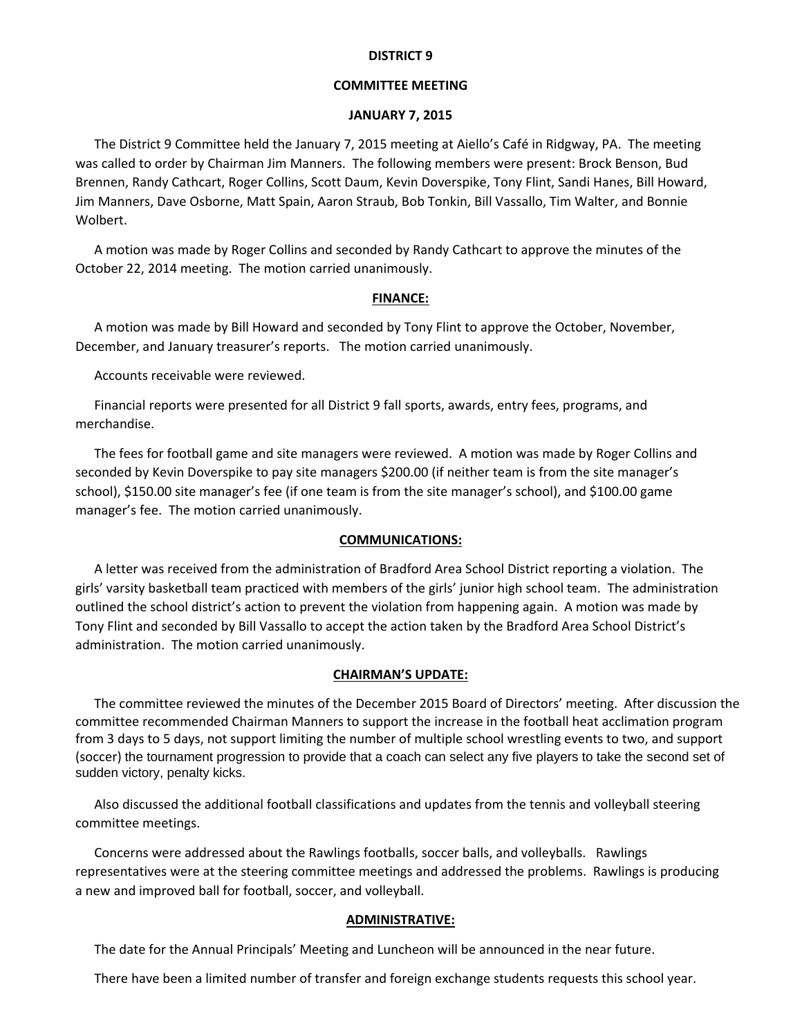### **DISTRICT 9**

## **COMMITTEE MEETING**

### **JANUARY 7, 2015**

The District 9 Committee held the January 7, 2015 meeting at Aiello's Café in Ridgway, PA. The meeting was called to order by Chairman Jim Manners. The following members were present: Brock Benson, Bud Brennen, Randy Cathcart, Roger Collins, Scott Daum, Kevin Doverspike, Tony Flint, Sandi Hanes, Bill Howard, Jim Manners, Dave Osborne, Matt Spain, Aaron Straub, Bob Tonkin, Bill Vassallo, Tim Walter, and Bonnie Wolbert.

A motion was made by Roger Collins and seconded by Randy Cathcart to approve the minutes of the October 22, 2014 meeting. The motion carried unanimously.

#### **FINANCE:**

A motion was made by Bill Howard and seconded by Tony Flint to approve the October, November, December, and January treasurer's reports. The motion carried unanimously.

Accounts receivable were reviewed.

Financial reports were presented for all District 9 fall sports, awards, entry fees, programs, and merchandise.

The fees for football game and site managers were reviewed. A motion was made by Roger Collins and seconded by Kevin Doverspike to pay site managers \$200.00 (if neither team is from the site manager's school), \$150.00 site manager's fee (if one team is from the site manager's school), and \$100.00 game manager's fee. The motion carried unanimously.

### **COMMUNICATIONS:**

A letter was received from the administration of Bradford Area School District reporting a violation. The girls' varsity basketball team practiced with members of the girls' junior high school team. The administration outlined the school district's action to prevent the violation from happening again. A motion was made by Tony Flint and seconded by Bill Vassallo to accept the action taken by the Bradford Area School District's administration. The motion carried unanimously.

#### **CHAIRMAN'S UPDATE:**

The committee reviewed the minutes of the December 2015 Board of Directors' meeting. After discussion the committee recommended Chairman Manners to support the increase in the football heat acclimation program from 3 days to 5 days, not support limiting the number of multiple school wrestling events to two, and support (soccer) the tournament progression to provide that a coach can select any five players to take the second set of sudden victory, penalty kicks.

Also discussed the additional football classifications and updates from the tennis and volleyball steering committee meetings.

Concerns were addressed about the Rawlings footballs, soccer balls, and volleyballs. Rawlings representatives were at the steering committee meetings and addressed the problems. Rawlings is producing a new and improved ball for football, soccer, and volleyball.

#### **ADMINISTRATIVE:**

The date for the Annual Principals' Meeting and Luncheon will be announced in the near future.

There have been a limited number of transfer and foreign exchange students requests this school year.